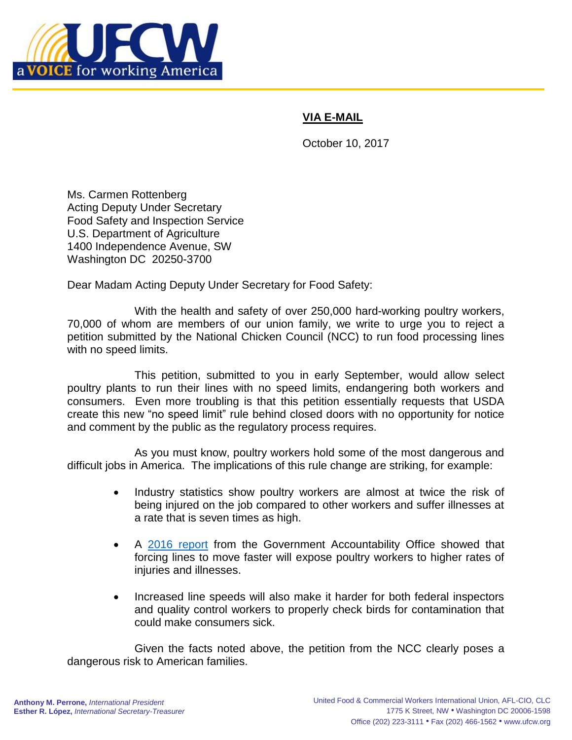

## **VIA E-MAIL**

October 10, 2017

Ms. Carmen Rottenberg Acting Deputy Under Secretary Food Safety and Inspection Service U.S. Department of Agriculture 1400 Independence Avenue, SW Washington DC 20250-3700

Dear Madam Acting Deputy Under Secretary for Food Safety:

With the health and safety of over 250,000 hard-working poultry workers, 70,000 of whom are members of our union family, we write to urge you to reject a petition submitted by the National Chicken Council (NCC) to run food processing lines with no speed limits.

This petition, submitted to you in early September, would allow select poultry plants to run their lines with no speed limits, endangering both workers and consumers. Even more troubling is that this petition essentially requests that USDA create this new "no speed limit" rule behind closed doors with no opportunity for notice and comment by the public as the regulatory process requires.

As you must know, poultry workers hold some of the most dangerous and difficult jobs in America. The implications of this rule change are striking, for example:

- Industry statistics show poultry workers are almost at twice the risk of being injured on the job compared to other workers and suffer illnesses at a rate that is seven times as high.
- A [2016 report](http://www.gao.gov/assets/680/676796.pdf) from the Government Accountability Office showed that forcing lines to move faster will expose poultry workers to higher rates of injuries and illnesses.
- Increased line speeds will also make it harder for both federal inspectors and quality control workers to properly check birds for contamination that could make consumers sick.

Given the facts noted above, the petition from the NCC clearly poses a dangerous risk to American families.